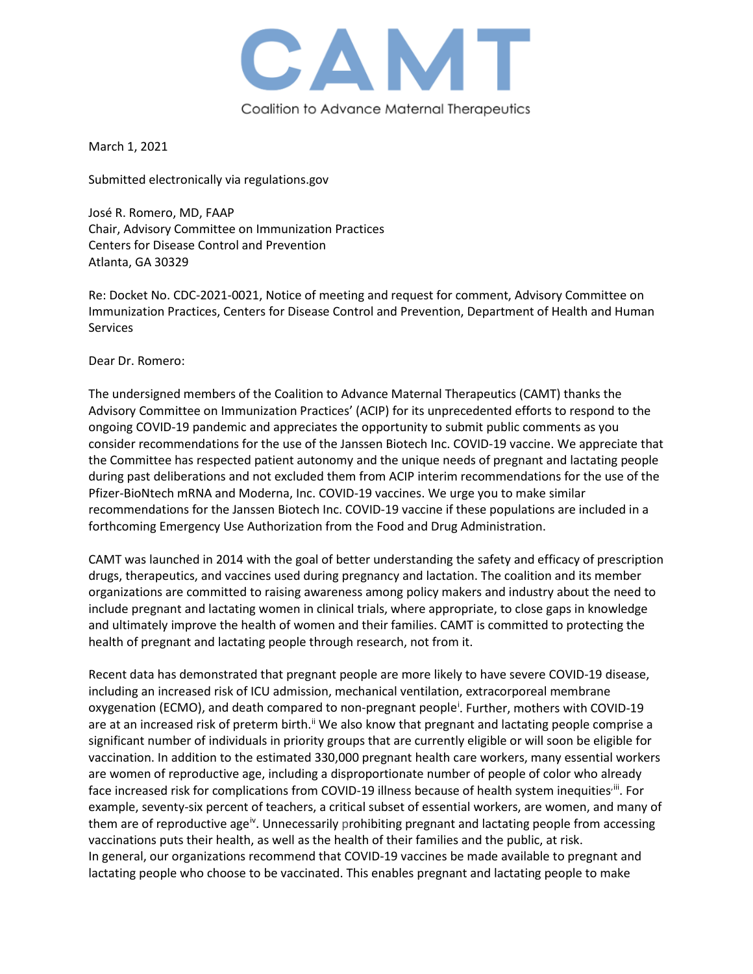

March 1, 2021

Submitted electronically via regulations.gov

José R. Romero, MD, FAAP Chair, Advisory Committee on Immunization Practices Centers for Disease Control and Prevention Atlanta, GA 30329

Re: Docket No. CDC-2021-0021, Notice of meeting and request for comment, Advisory Committee on Immunization Practices, Centers for Disease Control and Prevention, Department of Health and Human Services

Dear Dr. Romero:

The undersigned members of the Coalition to Advance Maternal Therapeutics (CAMT) thanks the Advisory Committee on Immunization Practices' (ACIP) for its unprecedented efforts to respond to the ongoing COVID-19 pandemic and appreciates the opportunity to submit public comments as you consider recommendations for the use of the Janssen Biotech Inc. COVID-19 vaccine. We appreciate that the Committee has respected patient autonomy and the unique needs of pregnant and lactating people during past deliberations and not excluded them from ACIP interim recommendations for the use of the Pfizer-BioNtech mRNA and Moderna, Inc. COVID-19 vaccines. We urge you to make similar recommendations for the Janssen Biotech Inc. COVID-19 vaccine if these populations are included in a forthcoming Emergency Use Authorization from the Food and Drug Administration.

CAMT was launched in 2014 with the goal of better understanding the safety and efficacy of prescription drugs, therapeutics, and vaccines used during pregnancy and lactation. The coalition and its member organizations are committed to raising awareness among policy makers and industry about the need to include pregnant and lactating women in clinical trials, where appropriate, to close gaps in knowledge and ultimately improve the health of women and their families. CAMT is committed to protecting the health of pregnant and lactating people through research, not from it.

Recent data has demonstrated that pregnant people are more likely to have severe COVID-19 disease, including an increased risk of ICU admission, mechanical ventilation, extracorporeal membrane oxygenat[i](#page-1-0)on (ECMO), and death compared to non-pregnant people<sup>i</sup>. Further, mothers with COVID-19 are at an increased risk of preterm birth.<sup>[ii](#page-1-1)</sup> We also know that pregnant and lactating people comprise a significant number of individuals in priority groups that are currently eligible or will soon be eligible for vaccination. In addition to the estimated 330,000 pregnant health care workers, many essential workers are women of reproductive age, including a disproportionate number of people of color who already face increased risk for complications from COVID-19 illness because of health system inequities<sup>, iii</sup>. For example, seventy-six percent of teachers, a critical subset of essential workers, are women, and many of them are of reproduct[iv](#page-1-3)e age<sup>iv</sup>. Unnecessarily prohibiting pregnant and lactating people from accessing vaccinations puts their health, as well as the health of their families and the public, at risk. In general, our organizations recommend that COVID-19 vaccines be made available to pregnant and lactating people who choose to be vaccinated. This enables pregnant and lactating people to make